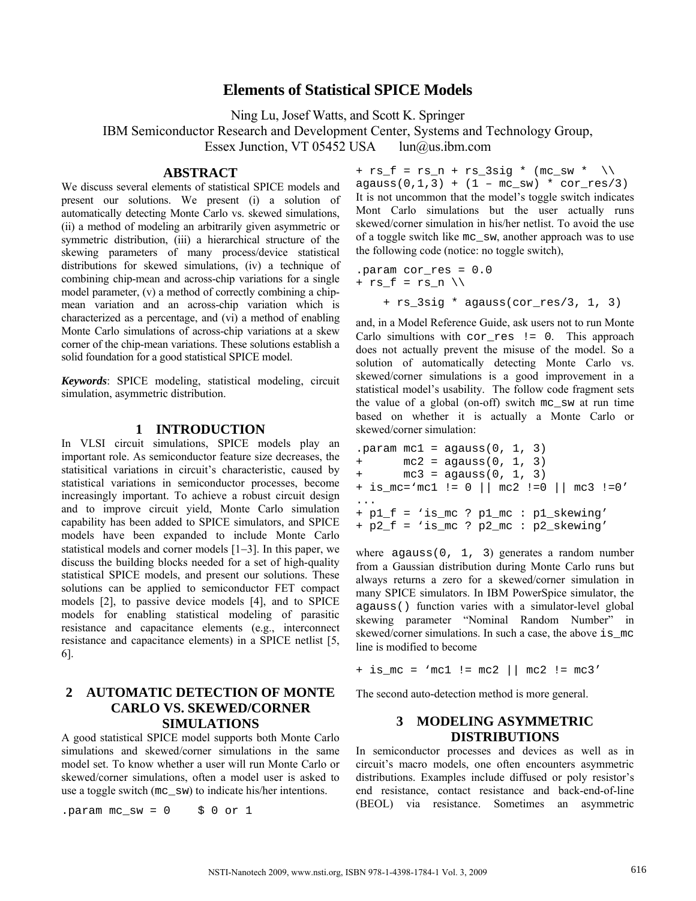# **Elements of Statistical SPICE Models**

Ning Lu, Josef Watts, and Scott K. Springer IBM Semiconductor Research and Development Center, Systems and Technology Group, Essex Junction, VT 05452 USA [lun@us.ibm.com](mailto:lun@us.ibm.com)

**ABSTRACT** 

We discuss several elements of statistical SPICE models and present our solutions. We present (i) a solution of automatically detecting Monte Carlo vs. skewed simulations, (ii) a method of modeling an arbitrarily given asymmetric or symmetric distribution, (iii) a hierarchical structure of the skewing parameters of many process/device statistical distributions for skewed simulations, (iv) a technique of combining chip-mean and across-chip variations for a single model parameter, (v) a method of correctly combining a chipmean variation and an across-chip variation which is characterized as a percentage, and (vi) a method of enabling Monte Carlo simulations of across-chip variations at a skew corner of the chip-mean variations. These solutions establish a solid foundation for a good statistical SPICE model.

*Keywords*: SPICE modeling, statistical modeling, circuit simulation, asymmetric distribution.

### **1 INTRODUCTION**

In VLSI circuit simulations, SPICE models play an important role. As semiconductor feature size decreases, the statisitical variations in circuit's characteristic, caused by statistical variations in semiconductor processes, become increasingly important. To achieve a robust circuit design and to improve circuit yield, Monte Carlo simulation capability has been added to SPICE simulators, and SPICE models have been expanded to include Monte Carlo statistical models and corner models [1−3]. In this paper, we discuss the building blocks needed for a set of high-quality statistical SPICE models, and present our solutions. These solutions can be applied to semiconductor FET compact models [2], to passive device models [4], and to SPICE models for enabling statistical modeling of parasitic resistance and capacitance elements (e.g., interconnect resistance and capacitance elements) in a SPICE netlist [5, 6].

## **2 AUTOMATIC DETECTION OF MONTE CARLO VS. SKEWED/CORNER SIMULATIONS**

A good statistical SPICE model supports both Monte Carlo simulations and skewed/corner simulations in the same model set. To know whether a user will run Monte Carlo or skewed/corner simulations, often a model user is asked to use a toggle switch (mc\_sw) to indicate his/her intentions.

.param mc  $sw = 0$  \$ 0 or 1

```
+ rs f = rs n + rs 3sig * (mc sw * \\
```
 $agauss(0,1,3) + (1 - mc_sw) * cor-res/3)$ It is not uncommon that the model's toggle switch indicates Mont Carlo simulations but the user actually runs skewed/corner simulation in his/her netlist. To avoid the use of a toggle switch like mc\_sw, another approach was to use the following code (notice: no toggle switch),

```
.param cor_res = 0.0 
+ rs_f = rs_n \ \lor+ rs_3sig * agauss(cor_res/3, 1, 3)
```
and, in a Model Reference Guide, ask users not to run Monte Carlo simultions with cor\_res != 0. This approach does not actually prevent the misuse of the model. So a solution of automatically detecting Monte Carlo vs. skewed/corner simulations is a good improvement in a statistical model's usability. The follow code fragment sets the value of a global (on-off) switch mc\_sw at run time based on whether it is actually a Monte Carlo or skewed/corner simulation:

```
.param mc1 = aqauss(0, 1, 3)+ mc2 = aqauss(0, 1, 3)mc3 = aqauss(0, 1, 3)+ is_mc='mc1 != 0 || mc2 !=0 || mc3 !=0' 
... 
+ p1_f = 'is_mc ? p1_mc : p1_skewing' 
+ p2_f = 'is_mc ? p2_mc : p2_skewing'
```
where agauss(0, 1, 3) generates a random number from a Gaussian distribution during Monte Carlo runs but always returns a zero for a skewed/corner simulation in many SPICE simulators. In IBM PowerSpice simulator, the agauss() function varies with a simulator-level global skewing parameter "Nominal Random Number" in skewed/corner simulations. In such a case, the above is mc line is modified to become

+ is  $mc = 'mc1$  !=  $mc2$  ||  $mc2$  !=  $mc3'$ 

The second auto-detection method is more general.

### **3 MODELING ASYMMETRIC DISTRIBUTIONS**

In semiconductor processes and devices as well as in circuit's macro models, one often encounters asymmetric distributions. Examples include diffused or poly resistor's end resistance, contact resistance and back-end-of-line (BEOL) via resistance. Sometimes an asymmetric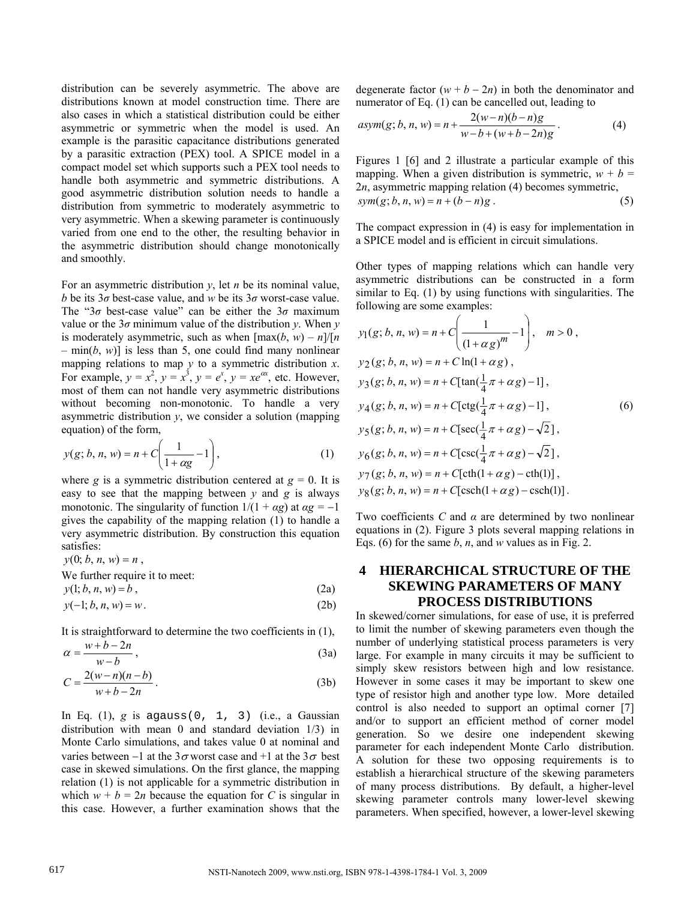distribution can be severely asymmetric. The above are distributions known at model construction time. There are also cases in which a statistical distribution could be either asymmetric or symmetric when the model is used. An example is the parasitic capacitance distributions generated by a parasitic extraction (PEX) tool. A SPICE model in a compact model set which supports such a PEX tool needs to handle both asymmetric and symmetric distributions. A good asymmetric distribution solution needs to handle a distribution from symmetric to moderately asymmetric to very asymmetric. When a skewing parameter is continuously varied from one end to the other, the resulting behavior in the asymmetric distribution should change monotonically and smoothly.

For an asymmetric distribution *y*, let *n* be its nominal value, *b* be its  $3\sigma$  best-case value, and *w* be its  $3\sigma$  worst-case value. The "3*σ* best-case value" can be either the 3*σ* maximum value or the  $3\sigma$  minimum value of the distribution *y*. When *y* is moderately asymmetric, such as when  $[\max(b, w) - n]/[n]$  $-$  min(*b*, *w*)] is less than 5, one could find many nonlinear mapping relations to map *y* to a symmetric distribution *x*. For example,  $y = x^2$ ,  $y = x^3$ ,  $y = e^x$ ,  $y = xe^{ax}$ , etc. However, most of them can not handle very asymmetric distributions without becoming non-monotonic. To handle a very asymmetric distribution *y*, we consider a solution (mapping equation) of the form,

$$
y(g; b, n, w) = n + C\left(\frac{1}{1 + \alpha g} - 1\right),
$$
 (1)

where *g* is a symmetric distribution centered at  $g = 0$ . It is easy to see that the mapping between *y* and *g* is always monotonic. The singularity of function  $1/(1 + \alpha g)$  at  $\alpha g = -1$ gives the capability of the mapping relation (1) to handle a very asymmetric distribution. By construction this equation satisfies:

 $y(0; b, n, w) = n$ , We further require it to meet:

 $y(1; b, n, w) = b$ , (2a)

$$
y(-1; b, n, w) = w.
$$
 (2b)

It is straightforward to determine the two coefficients in (1),

$$
\alpha = \frac{w + b - 2n}{w - b},\tag{3a}
$$

$$
C = \frac{2(w-n)(n-b)}{w+b-2n}.
$$
\n(3b)

In Eq. (1), *g* is agauss(0, 1, 3) (i.e., a Gaussian distribution with mean 0 and standard deviation 1/3) in Monte Carlo simulations, and takes value 0 at nominal and varies between −1 at the  $3\sigma$  worst case and +1 at the  $3\sigma$  best case in skewed simulations. On the first glance, the mapping relation (1) is not applicable for a symmetric distribution in which  $w + b = 2n$  because the equation for *C* is singular in this case. However, a further examination shows that the degenerate factor  $(w + b - 2n)$  in both the denominator and numerator of Eq. (1) can be cancelled out, leading to

$$
asym(g; b, n, w) = n + \frac{2(w-n)(b-n)g}{w-b+(w+b-2n)g}.
$$
 (4)

Figures 1 [6] and 2 illustrate a particular example of this mapping. When a given distribution is symmetric,  $w + b =$ 2*n*, asymmetric mapping relation (4) becomes symmetric,  $sym(g; b, n, w) = n + (b - n)g$ . (5)

The compact expression in (4) is easy for implementation in a SPICE model and is efficient in circuit simulations.

Other types of mapping relations which can handle very asymmetric distributions can be constructed in a form similar to Eq. (1) by using functions with singularities. The following are some examples:

$$
y_1(g; b, n, w) = n + C\left(\frac{1}{(1 + \alpha g)^m} - 1\right), \quad m > 0,
$$
  
\n
$$
y_2(g; b, n, w) = n + C\ln(1 + \alpha g),
$$
  
\n
$$
y_3(g; b, n, w) = n + C[\tan(\frac{1}{4}\pi + \alpha g) - 1],
$$
  
\n
$$
y_4(g; b, n, w) = n + C[\cot(\frac{1}{4}\pi + \alpha g) - 1],
$$
  
\n
$$
y_5(g; b, n, w) = n + C[\sec(\frac{1}{4}\pi + \alpha g) - \sqrt{2}],
$$
  
\n
$$
y_6(g; b, n, w) = n + C[\csc(\frac{1}{4}\pi + \alpha g) - \sqrt{2}],
$$
  
\n
$$
y_7(g; b, n, w) = n + C[\coth(1 + \alpha g) - \coth(1)],
$$
  
\n
$$
y_8(g; b, n, w) = n + C[\csch(1 + \alpha g) - \csch(1)].
$$

Two coefficients *C* and *α* are determined by two nonlinear equations in (2). Figure 3 plots several mapping relations in Eqs. (6) for the same *b*, *n*, and *w* values as in Fig. 2.

# **4 HIERARCHICAL STRUCTURE OF THE SKEWING PARAMETERS OF MANY PROCESS DISTRIBUTIONS**

In skewed/corner simulations, for ease of use, it is preferred to limit the number of skewing parameters even though the number of underlying statistical process parameters is very large. For example in many circuits it may be sufficient to simply skew resistors between high and low resistance. However in some cases it may be important to skew one type of resistor high and another type low. More detailed control is also needed to support an optimal corner [7] and/or to support an efficient method of corner model generation. So we desire one independent skewing parameter for each independent Monte Carlo distribution. A solution for these two opposing requirements is to establish a hierarchical structure of the skewing parameters of many process distributions. By default, a higher-level skewing parameter controls many lower-level skewing parameters. When specified, however, a lower-level skewing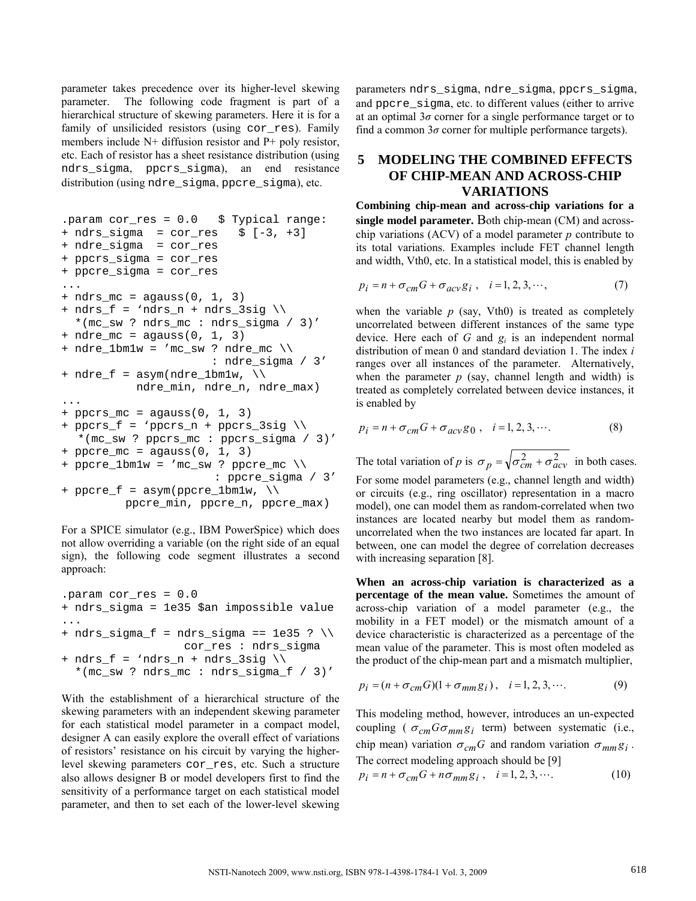parameter takes precedence over its higher-level skewing parameter. The following code fragment is part of a hierarchical structure of skewing parameters. Here it is for a family of unsilicided resistors (using cor\_res). Family members include N+ diffusion resistor and P+ poly resistor, etc. Each of resistor has a sheet resistance distribution (using ndrs\_sigma, ppcrs\_sigma), an end resistance distribution (using ndre\_sigma, ppcre\_sigma), etc.

```
.param cor_res = 0.0 $ Typical range: 
+ ndrs_sigma = cor_res $ [-3, +3] 
+ ndre_sigma = cor_res 
+ ppcrs_sigma = cor_res 
+ ppcre_sigma = cor_res 
... 
+ ndrs mc = agauss(0, 1, 3)
+ ndrs f = 'ndrs_n + ndrs_3sig \ \ \ \ \ \ *(mc_sw ? ndrs_mc : ndrs_sigma / 3)' 
+ ndre_mc = agauss(0, 1, 3)
+ ndre_1bm1w = 'mc_sw ? ndre_mc \\ 
                          : ndre_sigma / 3' 
+ ndre_f = \text{asym}(ndre_lbm1w, \setminus \setminusndre min, ndre n, ndre max)
... 
+ ppcrs_mc = agauss(0, 1, 3)
+ ppcrs_f = 'ppcrs_n + ppcrs_3sig \\ 
  *(mc_sw ? ppcrs_mc : ppcrs_sigma / 3)' 
+ ppcre_mc = agauss(0, 1, 3)
+ ppcre_lbmw = 'mc_sw ? ppcre_mc \ \ \ \ \ \ : ppcre_sigma / 3' 
+ ppcre_f = \text{asym}(ppcre_lbm1w, \ \ \ \ \ \ \ ppcre_min, ppcre_n, ppcre_max)
```
For a SPICE simulator (e.g., IBM PowerSpice) which does not allow overriding a variable (on the right side of an equal sign), the following code segment illustrates a second approach:

```
.param cor_res = 0.0 
+ ndrs_sigma = 1e35 $an impossible value 
... 
+ ndrs_sigma_f = ndrs_sigma == 1e35 ? \\ 
                   cor_res : ndrs_sigma 
+ ndrs_f = 'ndrs_n + ndrs_3sig \ \ \*(mc_sw ? ndrs mc : ndrs_sigma_f / 3)'
```
With the establishment of a hierarchical structure of the skewing parameters with an independent skewing parameter for each statistical model parameter in a compact model, designer A can easily explore the overall effect of variations of resistors' resistance on his circuit by varying the higherlevel skewing parameters cor\_res, etc. Such a structure also allows designer B or model developers first to find the sensitivity of a performance target on each statistical model parameter, and then to set each of the lower-level skewing parameters ndrs\_sigma, ndre\_sigma, ppcrs\_sigma, and ppcre\_sigma, etc. to different values (either to arrive at an optimal  $3\sigma$  corner for a single performance target or to find a common  $3\sigma$  corner for multiple performance targets).

## **5 MODELING THE COMBINED EFFECTS OF CHIP-MEAN AND ACROSS-CHIP VARIATIONS**

**Combining chip-mean and across-chip variations for a single model parameter.** Both chip-mean (CM) and acrosschip variations (ACV) of a model parameter *p* contribute to its total variations. Examples include FET channel length and width, Vth0, etc. In a statistical model, this is enabled by

$$
p_i = n + \sigma_{cm} G + \sigma_{acv} g_i , \quad i = 1, 2, 3, \cdots,
$$
 (7)

when the variable  $p$  (say, Vth0) is treated as completely uncorrelated between different instances of the same type device. Here each of *G* and *gi* is an independent normal distribution of mean 0 and standard deviation 1. The index *i*  ranges over all instances of the parameter. Alternatively, when the parameter  $p$  (say, channel length and width) is treated as completely correlated between device instances, it is enabled by

$$
p_i = n + \sigma_{cm} G + \sigma_{acv} g_0 , \quad i = 1, 2, 3, \cdots.
$$
 (8)

The total variation of *p* is  $\sigma_p = \sqrt{\sigma_{cm}^2 + \sigma_{acv}^2}$  in both cases. For some model parameters (e.g., channel length and width) or circuits (e.g., ring oscillator) representation in a macro model), one can model them as random-correlated when two instances are located nearby but model them as randomuncorrelated when the two instances are located far apart. In between, one can model the degree of correlation decreases with increasing separation [8].

**When an across-chip variation is characterized as a percentage of the mean value.** Sometimes the amount of across-chip variation of a model parameter (e.g., the mobility in a FET model) or the mismatch amount of a device characteristic is characterized as a percentage of the mean value of the parameter. This is most often modeled as the product of the chip-mean part and a mismatch multiplier,

$$
p_i = (n + \sigma_{cm} G)(1 + \sigma_{mm} g_i), \quad i = 1, 2, 3, \cdots.
$$
 (9)

This modeling method, however, introduces an un-expected coupling ( $\sigma_{cm}G\sigma_{mm}g_i$  term) between systematic (i.e., chip mean) variation  $\sigma_{cm}G$  and random variation  $\sigma_{mm}g_i$ . The correct modeling approach should be [9]

$$
p_i = n + \sigma_{cm} G + n \sigma_{mm} g_i , \quad i = 1, 2, 3, \cdots.
$$
 (10)